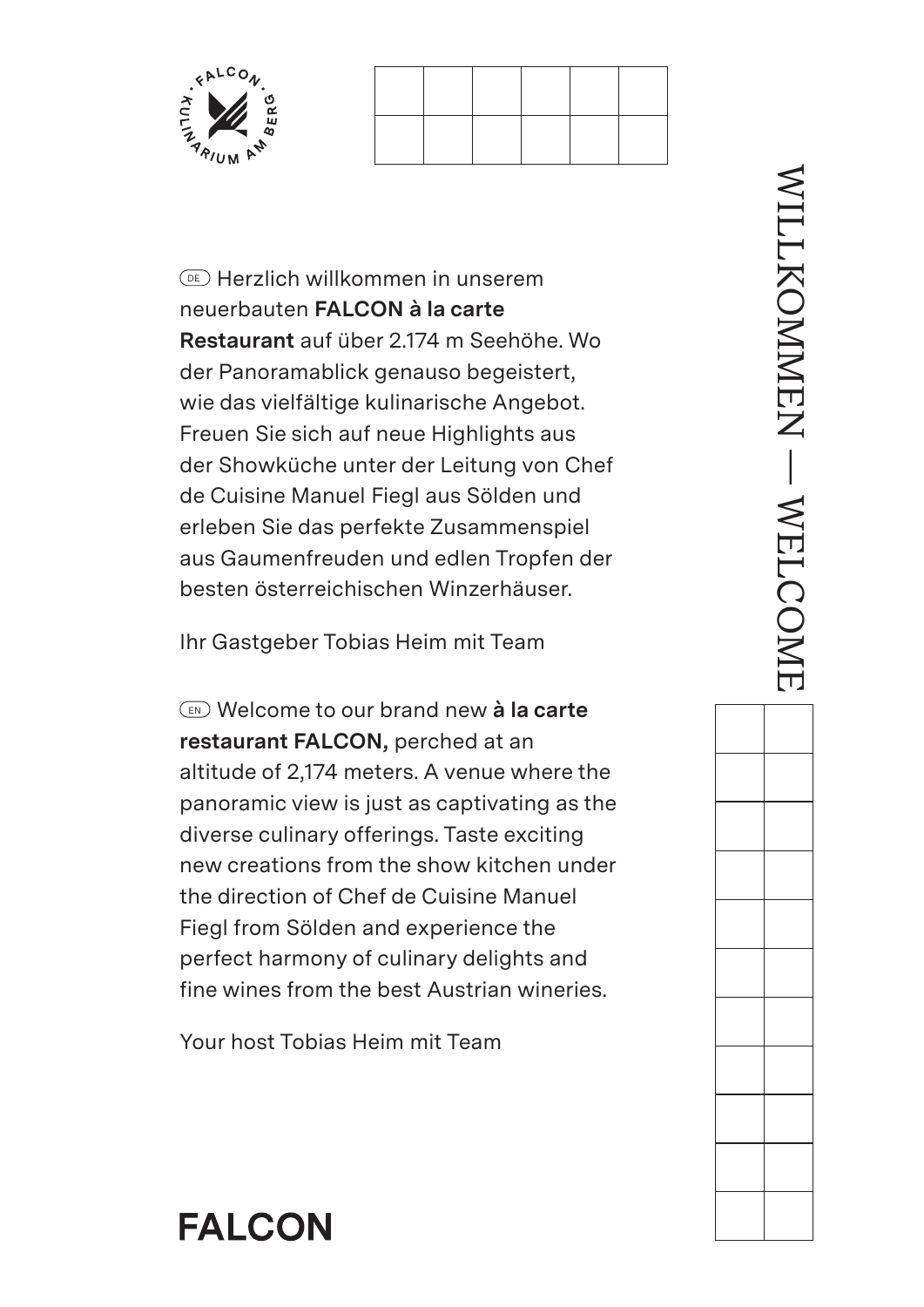



 $\circ$  Herzlich willkommen in unserem neuerbauten **FALCON à la carte Restaurant** auf über 2.174 m Seehöhe. Wo der Panoramablick genauso begeistert, wie das vielfältige kulinarische Angebot. Freuen Sie sich auf neue Highlights aus der Showküche unter der Leitung von Chef de Cuisine Manuel Fiegl aus Sölden und erleben Sie das perfekte Zusammenspiel aus Gaumenfreuden und edlen Tropfen der besten österreichischen Winzerhäuser.

Ihr Gastgeber Tobias Heim mit Team

 EN Welcome to our brand new **à la carte restaurant FALCON,** perched at an altitude of 2,174 meters. A venue where the panoramic view is just as captivating as the diverse culinary offerings. Taste exciting new creations from the show kitchen under the direction of Chef de Cuisine Manuel Fiegl from Sölden and experience the perfect harmony of culinary delights and fine wines from the best Austrian wineries.

Your host Tobias Heim mit Team

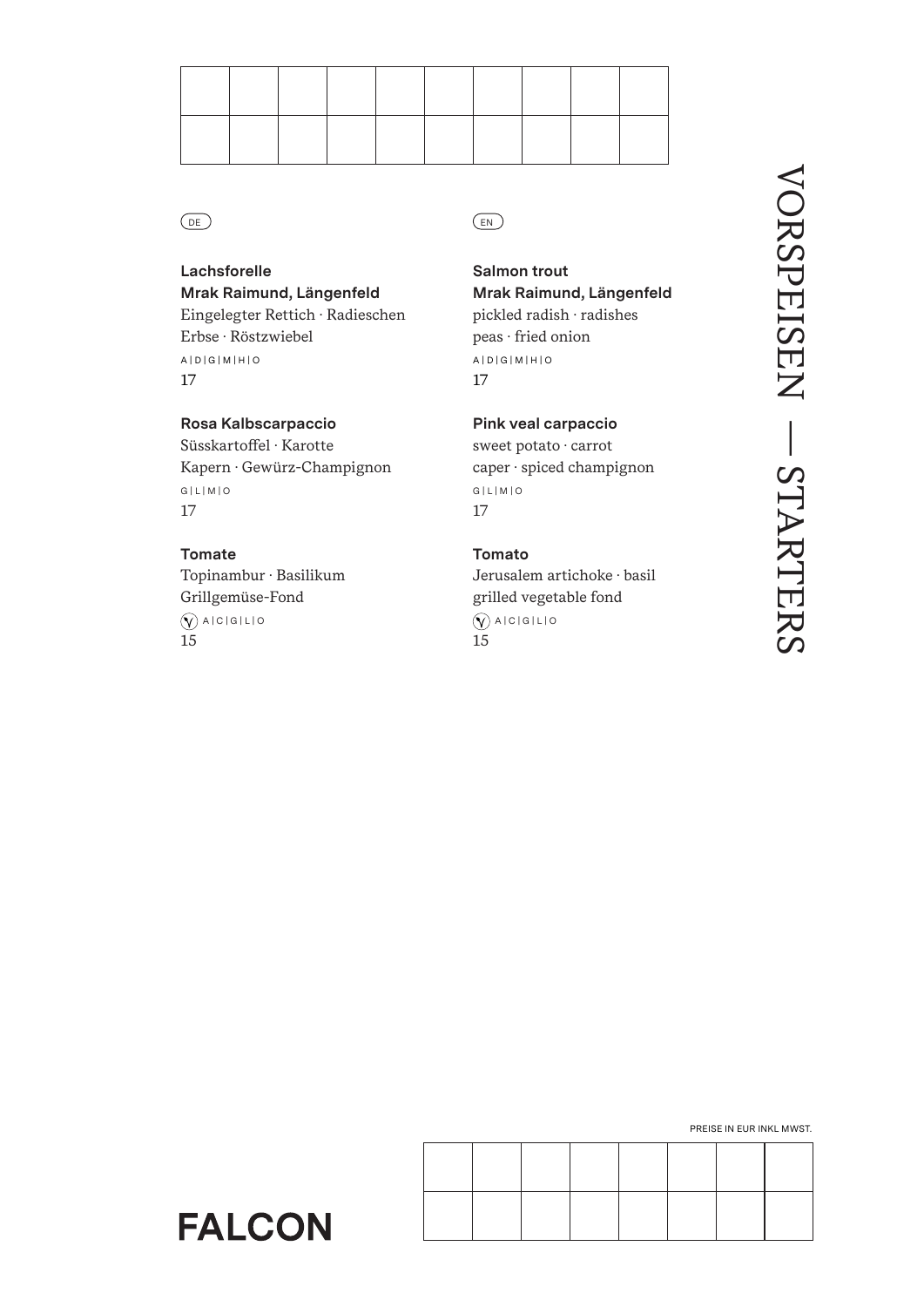

**Lachsforelle Mrak Raimund, Längenfeld** Eingelegter Rettich · Radieschen Erbse · Röstzwiebel A | D | G | M | H | O 17

**Rosa Kalbscarpaccio** Süsskartoffel · Karotte Kapern · Gewürz-Champignon G | L | M | O 17

# **Tomate** Topinambur · Basilikum Grillgemüse-Fond  $\bigcirc$  A | C | G | L | O

**FALCON** 

15

DE) (EN

**Salmon trout Mrak Raimund, Längenfeld** pickled radish · radishes peas · fried onion A | D | G | M | H | O 17

**Pink veal carpaccio** sweet potato · carrot caper · spiced champignon G | L | M | O 17

**Tomato**

Jerusalem artichoke · basil grilled vegetable fond  $\bigcirc$  A | C | G | L | O 15

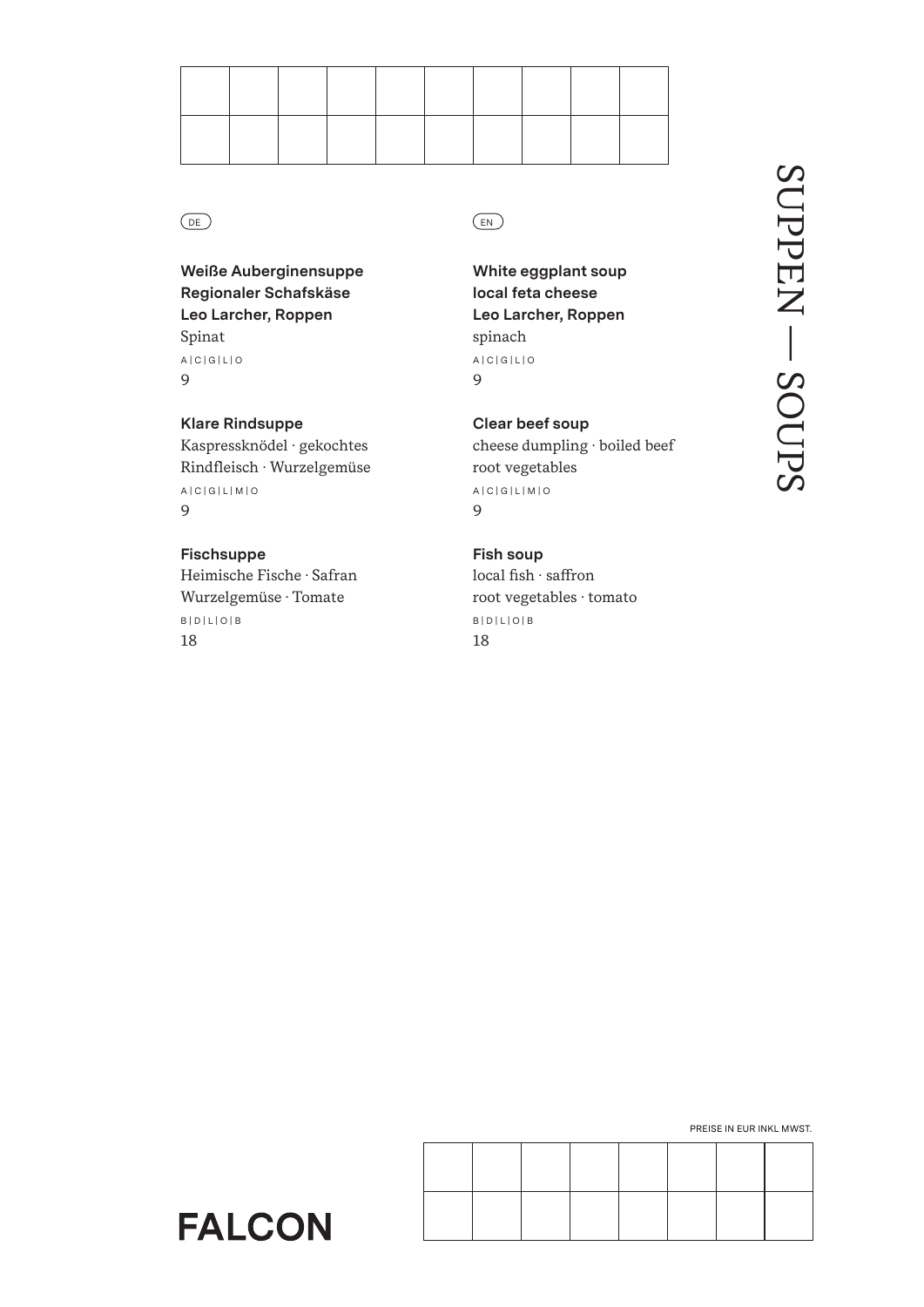

**Weiße Auberginensuppe Regionaler Schafskäse Leo Larcher, Roppen** Spinat A | C | G | L | O 9

**Klare Rindsuppe** Kaspressknödel · gekochtes Rindfleisch · Wurzelgemüse A | C | G | L | M | O 9

**Fischsuppe** Heimische Fische · Safran Wurzelgemüse · Tomate B | D | L | O | B 18

**FALCON** 

# DE) (EN

**White eggplant soup local feta cheese Leo Larcher, Roppen** spinach A | C | G | L | O 9

**Clear beef soup** cheese dumpling · boiled beef root vegetables A | C | G | L | M | O 9

**Fish soup** local fish · saffron root vegetables · tomato B | D | L | O | B 18

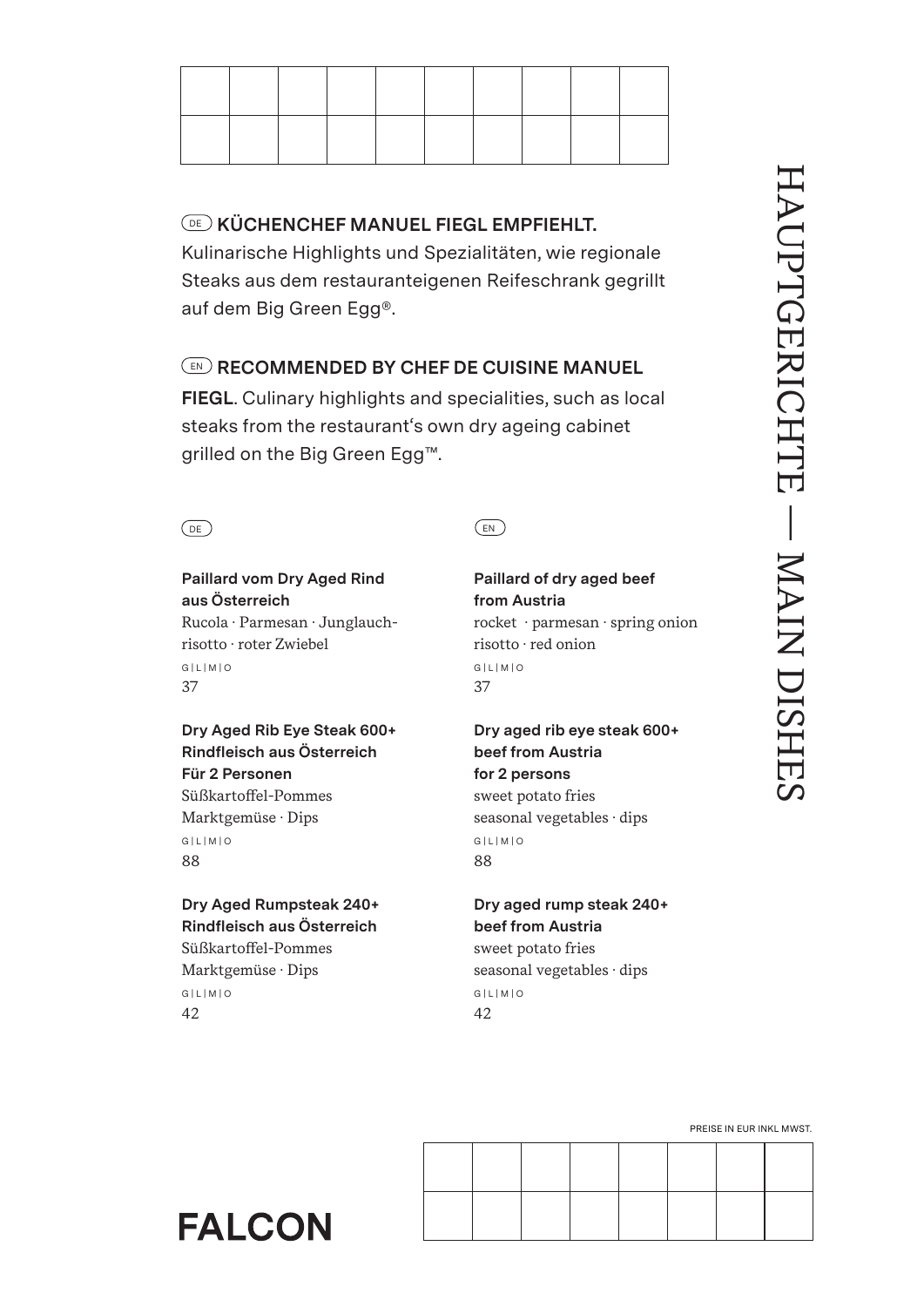

# DE **KÜCHENCHEF MANUEL FIEGL EMPFIEHLT.**

Kulinarische Highlights und Spezialitäten, wie regionale Steaks aus dem restauranteigenen Reifeschrank gegrillt auf dem Big Green Egg®.

# EN **RECOMMENDED BY CHEF DE CUISINE MANUEL**

**FIEGL**. Culinary highlights and specialities, such as local steaks from the restaurant's own dry ageing cabinet grilled on the Big Green Egg™.



# **Paillard vom Dry Aged Rind aus Österreich**

Rucola · Parmesan · Junglauchrisotto · roter Zwiebel G | L | M | O 37

# **Dry Aged Rib Eye Steak 600+ Rindfleisch aus Österreich Für 2 Personen**

Süßkartoffel-Pommes Marktgemüse · Dips G | L | M | O 88

# **Dry Aged Rumpsteak 240+ Rindfleisch aus Österreich** Süßkartoffel-Pommes Marktgemüse · Dips G | L | M | O

42

# **Paillard of dry aged beef from Austria**

rocket · parmesan · spring onion risotto · red onion G | L | M | O 37

# **Dry aged rib eye steak 600+ beef from Austria for 2 persons** sweet potato fries seasonal vegetables · dips G | L | M | O 88

# **Dry aged rump steak 240+ beef from Austria**

sweet potato fries seasonal vegetables · dips G | L | M | O 42

PREISE IN EUR INKL MWST.

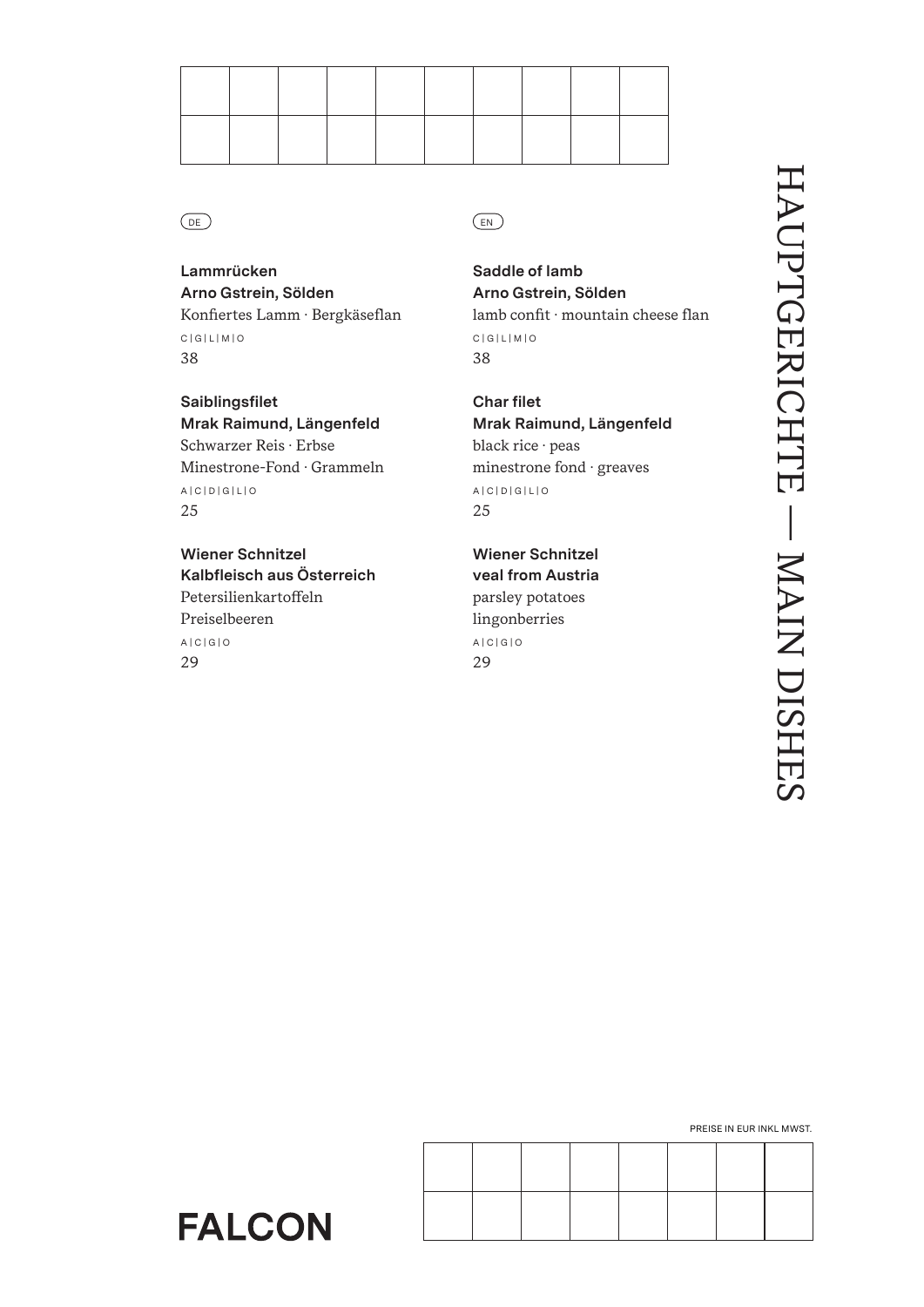

**Lammrücken Arno Gstrein, Sölden** Konfiertes Lamm · Bergkäseflan C | G | L | M | O 38

**Saiblingsfilet Mrak Raimund, Längenfeld** Schwarzer Reis · Erbse Minestrone-Fond · Grammeln A | C | D | G | L | O 25

**Wiener Schnitzel Kalbfleisch aus Österreich** Petersilienkartoffeln Preiselbeeren A | C | G | O 29

# DE) (EN

**Saddle of lamb Arno Gstrein, Sölden** lamb confit · mountain cheese flan C | G | L | M | O 38

**Char filet Mrak Raimund, Längenfeld** black rice · peas minestrone fond · greaves A | C | D | G | L | O 25

**Wiener Schnitzel veal from Austria** parsley potatoes lingonberries A | C | G | O 29

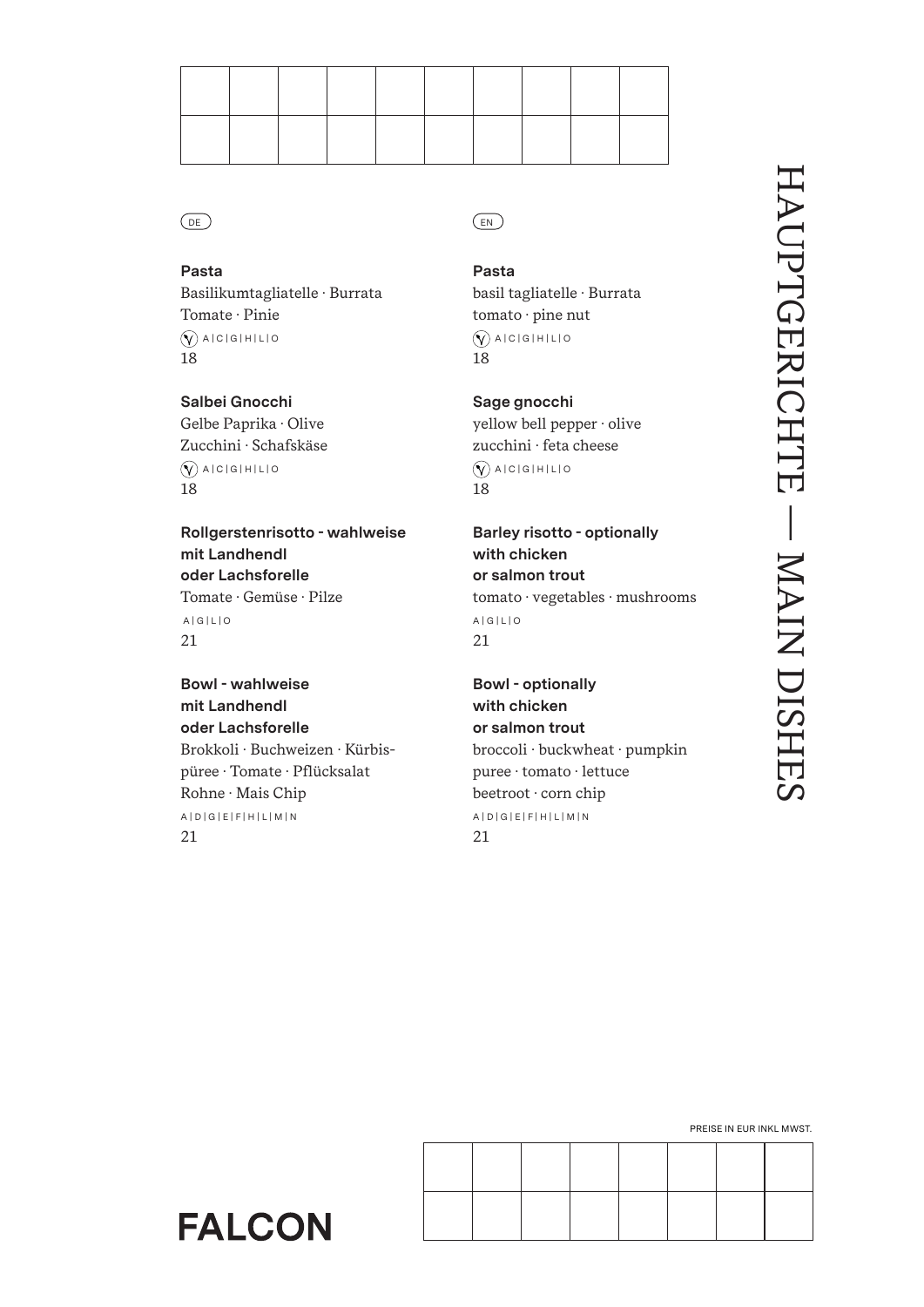

**Pasta** Basilikumtagliatelle · Burrata Tomate · Pinie  $\widehat{N}$  A | C | G | H | L | O 18

**Salbei Gnocchi** Gelbe Paprika · Olive Zucchini · Schafskäse  $\widehat{N}$  A | C | G | H | L | O 18

**Rollgerstenrisotto - wahlweise mit Landhendl oder Lachsforelle** Tomate · Gemüse · Pilze A | G | L | O 21

**Bowl - wahlweise mit Landhendl oder Lachsforelle** Brokkoli · Buchweizen · Kürbispüree · Tomate · Pflücksalat Rohne · Mais Chip A | D | G | E | F | H | L | M | N 21

**Pasta** basil tagliatelle · Burrata tomato · pine nut

 $\widehat{N}$  A | C | G | H | L | O 18

**Sage gnocchi** yellow bell pepper · olive zucchini · feta cheese  $\widehat{N}$  A | C | G | H | L | O 18

**Barley risotto - optionally with chicken or salmon trout** tomato · vegetables · mushrooms A | G | L | O 21

**Bowl - optionally with chicken or salmon trout** broccoli · buckwheat · pumpkin puree · tomato · lettuce beetroot · corn chip A | D | G | E | F | H | L | M | N 21

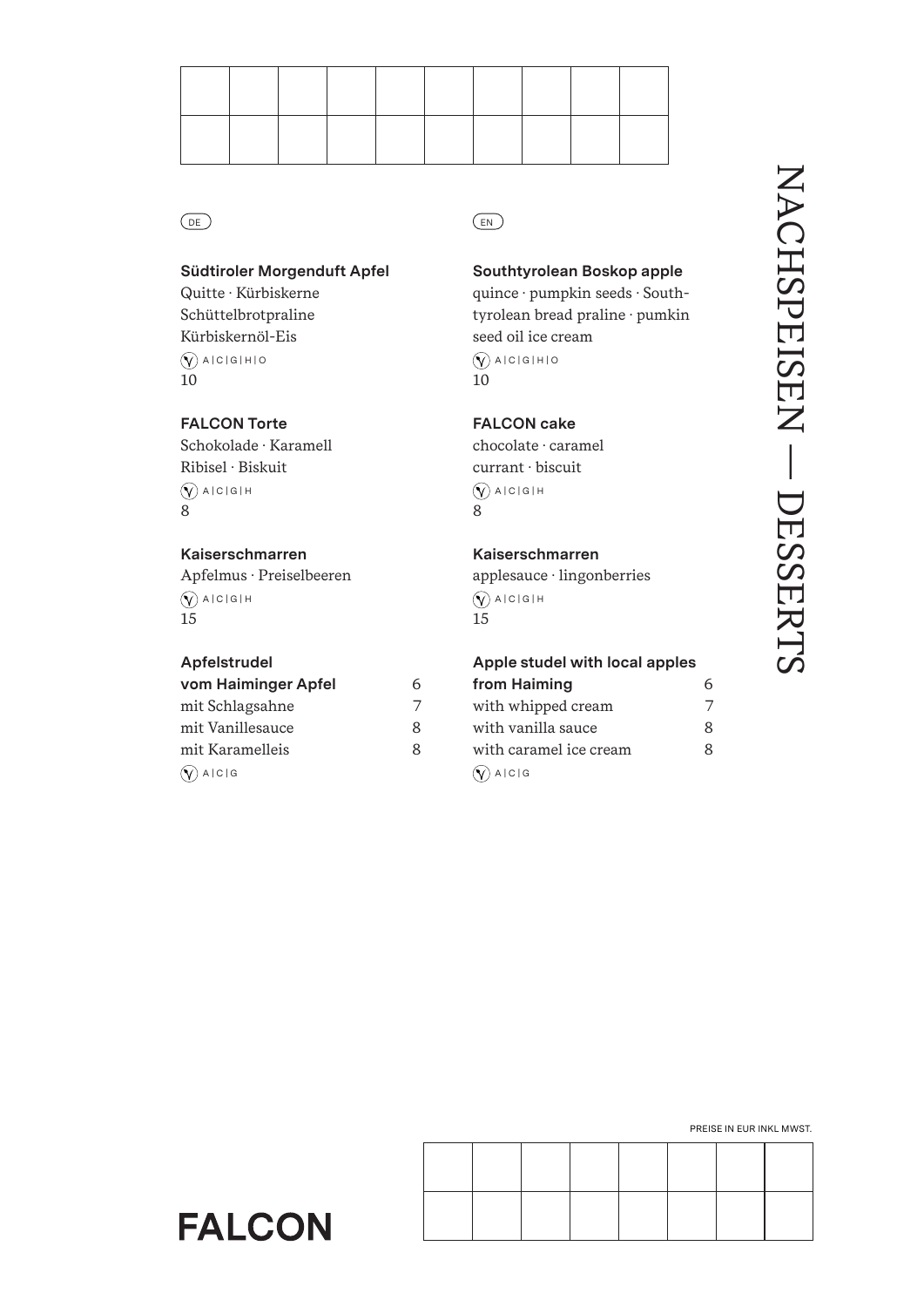

# **Südtiroler Morgenduft Apfel**

Quitte · Kürbiskerne Schüttelbrotpraline Kürbiskernöl-Eis  $\left(\widehat{\mathsf{Y}}\right)$  A | C | G | H | O 10

# **FALCON Torte** Schokolade · Karamell Ribisel · Biskuit  $\bigcirc$  A | C | G | H 8

# **Kaiserschmarren**

Apfelmus · Preiselbeeren  $\bigcirc$  A | C | G | H 15

# **Apfelstrudel**

| vom Haiminger Apfel  | 6 |
|----------------------|---|
| mit Schlagsahne      | 7 |
| mit Vanillesauce     | 8 |
| mit Karamelleis      | 8 |
| $\bigcirc$ A   C   G |   |

# **Southtyrolean Boskop apple**

quince · pumpkin seeds · Southtyrolean bread praline · pumkin seed oil ice cream  $\left(\widehat{\mathsf{Y}}\right)$  a | c | g | h | o 10

# **FALCON cake**

chocolate · caramel currant · biscuit  $\bigcirc$  A | C | G | H 8

# **Kaiserschmarren**

applesauce · lingonberries  $\bigcirc$  A | C | G | H 15

# **Apple studel with local apples**

| from Haiming           | հ        |
|------------------------|----------|
| with whipped cream     | $\prime$ |
| with vanilla sauce     | Ջ        |
| with caramel ice cream | Ջ        |
| $(\sqrt{})$ A $ c $ G  |          |



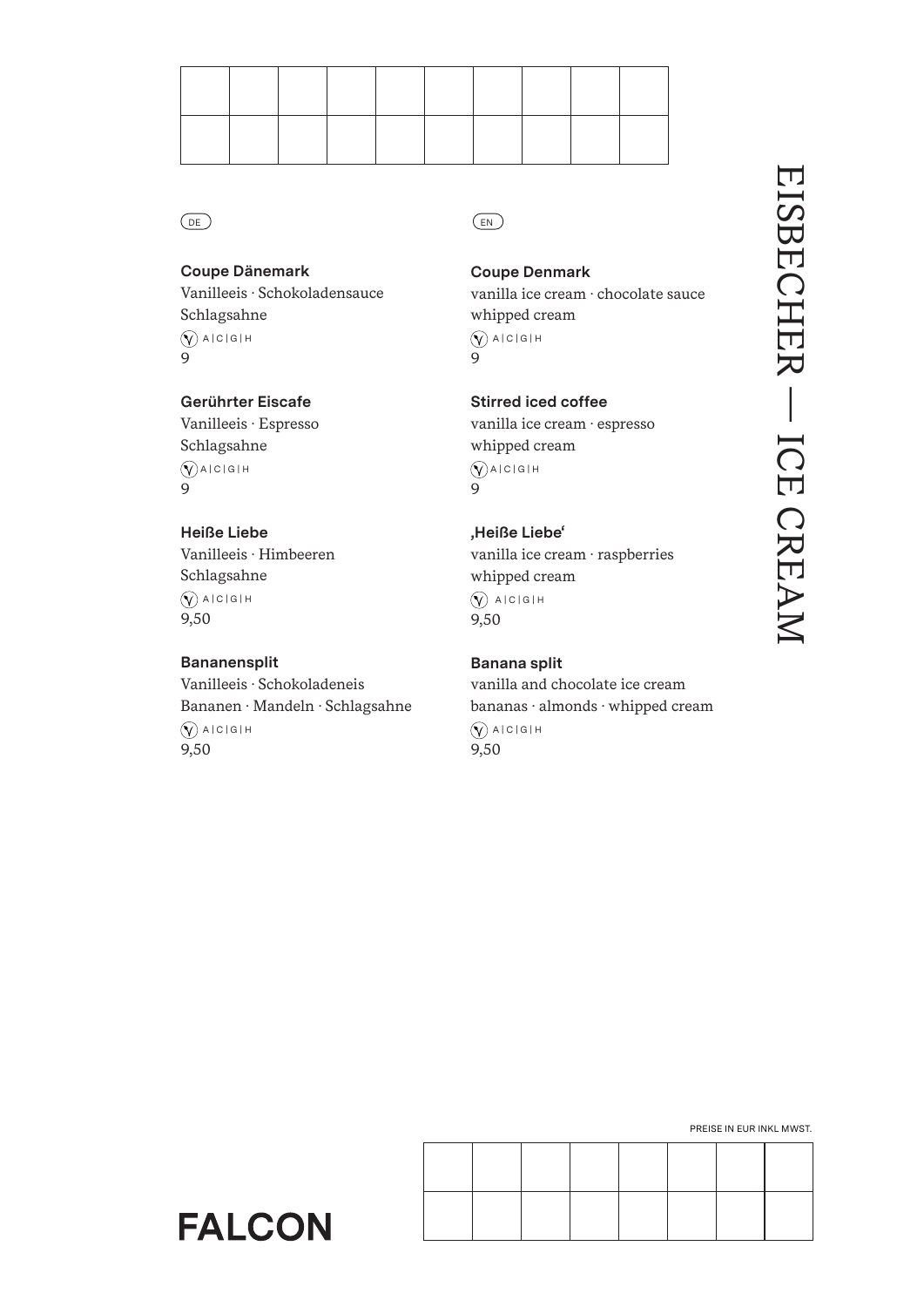

# **Coupe Dänemark**

Vanilleeis · Schokoladensauce Schlagsahne

 $\bigcirc$  A | C | G | H 9

# **Gerührter Eiscafe**

Vanilleeis · Espresso Schlagsahne  $\bigcirc$ A | C | G | H 9

# **Heiße Liebe**

Vanilleeis · Himbeeren Schlagsahne  $\bigcirc$  A | C | G | H 9,50

**FALCON** 

# **Bananensplit**

Vanilleeis · Schokoladeneis Bananen · Mandeln · Schlagsahne  $\bigcirc$  A | C | G | H 9,50

# **Coupe Denmark**

vanilla ice cream · chocolate sauce whipped cream  $\bigotimes$  A | C | G | H

9

**Stirred iced coffee**

vanilla ice cream · espresso whipped cream  $\bigcirc$ A | C | G | H 9

# **'Heiße Liebe'**

vanilla ice cream · raspberries whipped cream  $\bigcirc$  alcigih 9,50

# **Banana split**

vanilla and chocolate ice cream bananas · almonds · whipped cream  $\bigcirc$  A | C | G | H 9,50

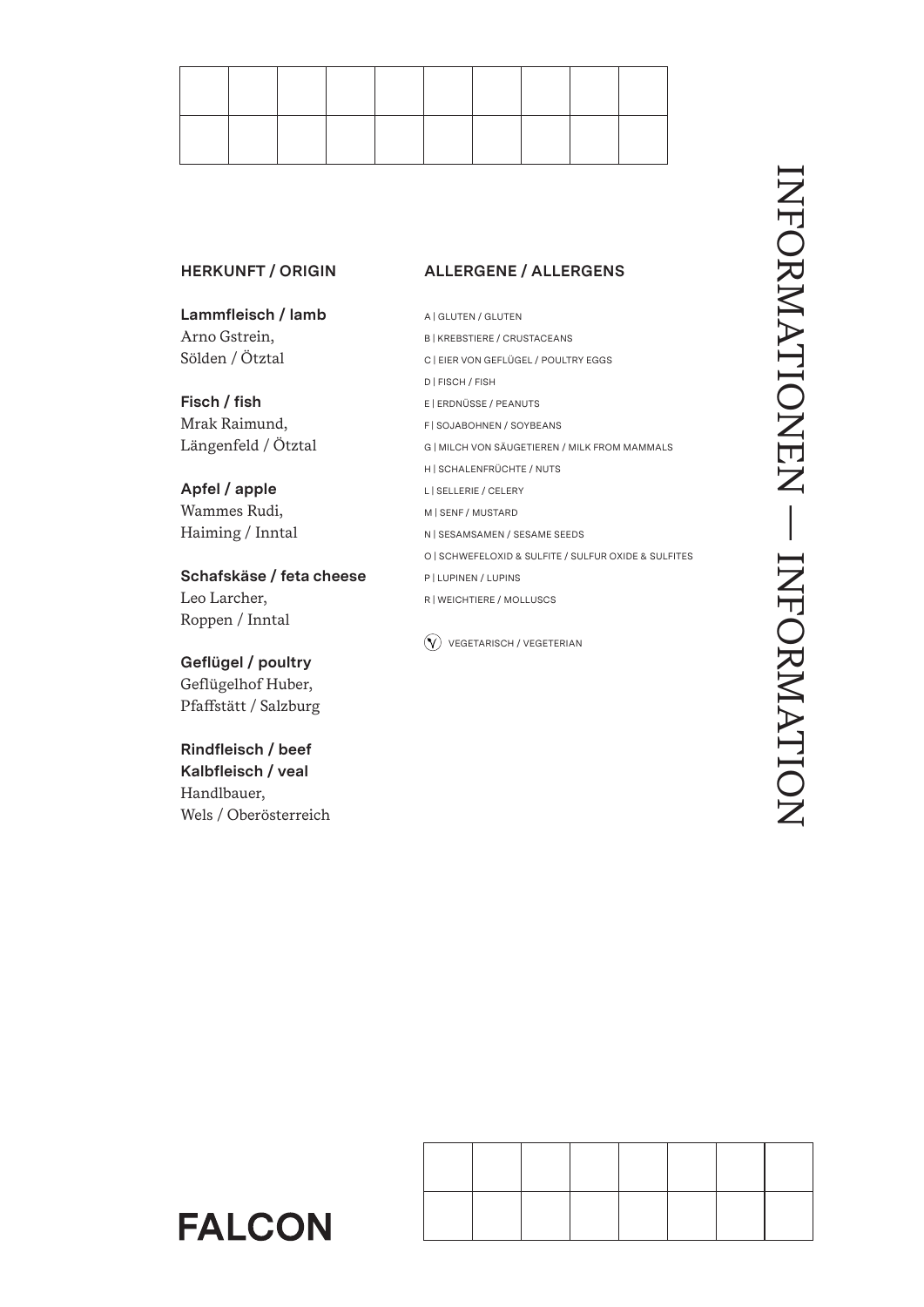

# **HERKUNFT / ORIGIN**

**Lammfleisch / lamb** Arno Gstrein, Sölden / Ötztal

**Fisch / fish** Mrak Raimund, Längenfeld / Ötztal

**Apfel / apple** Wammes Rudi, Haiming / Inntal

**Schafskäse / feta cheese** Leo Larcher, Roppen / Inntal

**Geflügel / poultry** Geflügelhof Huber, Pfaffstätt / Salzburg

**Rindfleisch / beef Kalbfleisch / veal** Handlbauer, Wels / Oberösterreich

**FALCON** 

# **ALLERGENE / ALLERGENS**

A | GLUTEN / GLUTEN B | KREBSTIERE / CRUSTACEANS C | EIER VON GEFLÜGEL / POULTRY EGGS D | FISCH / FISH E | ERDNÜSSE / PEANUTS F | SOJABOHNEN / SOYBEANS G | MILCH VON SÄUGETIEREN / MILK FROM MAMMALS H | SCHALENFRÜCHTE / NUTS L | SELLERIE / CELERY M | SENF / MUSTARD N | SESAMSAMEN / SESAME SEEDS O | SCHWEFELOXID & SULFITE / SULFUR OXIDE & SULFITES P | LUPINEN / LUPINS R | WEICHTIERE / MOLLUSCS

 $\widehat{V}$  VEGETARISCH / VEGETERIAN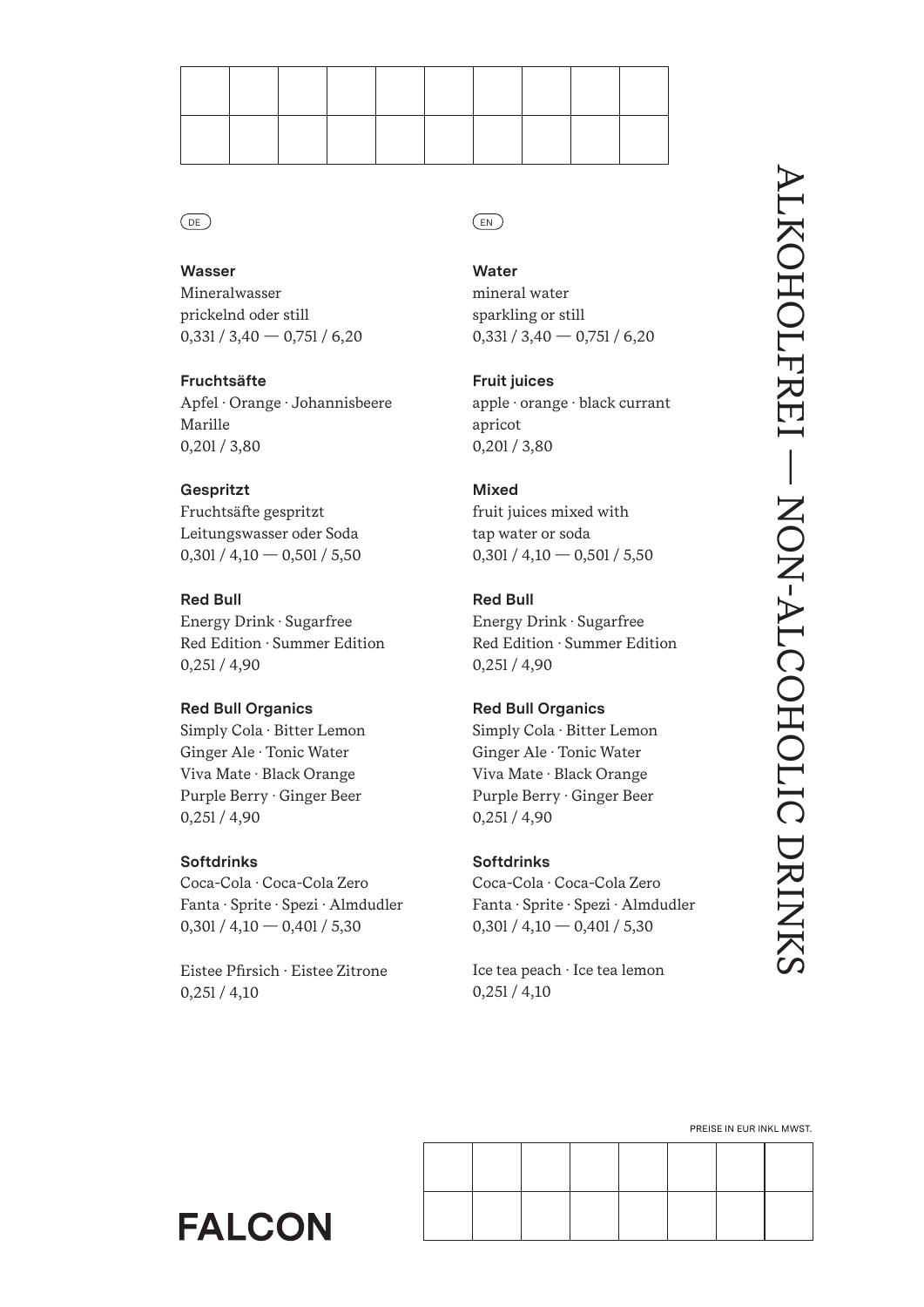

**Wasser** Mineralwasser prickelnd oder still  $0,331/3,40 - 0,751/6,20$ 

**Fruchtsäfte** Apfel · Orange · Johannisbeere Marille 0,20l / 3,80

**Gespritzt** Fruchtsäfte gespritzt Leitungswasser oder Soda  $0,301/4,10 - 0,501/5,50$ 

**Red Bull** Energy Drink · Sugarfree Red Edition · Summer Edition 0,25l / 4,90

# **Red Bull Organics**

Simply Cola · Bitter Lemon Ginger Ale · Tonic Water Viva Mate · Black Orange Purple Berry · Ginger Beer 0,25l / 4,90

# **Softdrinks**

Coca-Cola · Coca-Cola Zero Fanta · Sprite · Spezi · Almdudler  $0,30$ l /  $4,10 - 0,40$ l /  $5,30$ 

Eistee Pfirsich · Eistee Zitrone 0,25l / 4,10

**Water** mineral water

sparkling or still  $0,331 / 3,40 - 0,751 / 6,20$ 

**Fruit juices** apple · orange · black currant apricot 0,20l / 3,80

# **Mixed**

fruit juices mixed with tap water or soda  $0,301 / 4,10 - 0,501 / 5,50$ 

# **Red Bull**

Energy Drink · Sugarfree Red Edition · Summer Edition 0,25l / 4,90

# **Red Bull Organics**

Simply Cola · Bitter Lemon Ginger Ale · Tonic Water Viva Mate · Black Orange Purple Berry · Ginger Beer 0,25l / 4,90

# **Softdrinks**

Coca-Cola · Coca-Cola Zero Fanta · Sprite · Spezi · Almdudler  $0,301/4,10 - 0,401/5,30$ 

Ice tea peach · Ice tea lemon 0,25l / 4,10

PREISE IN EUR INKL MWST.

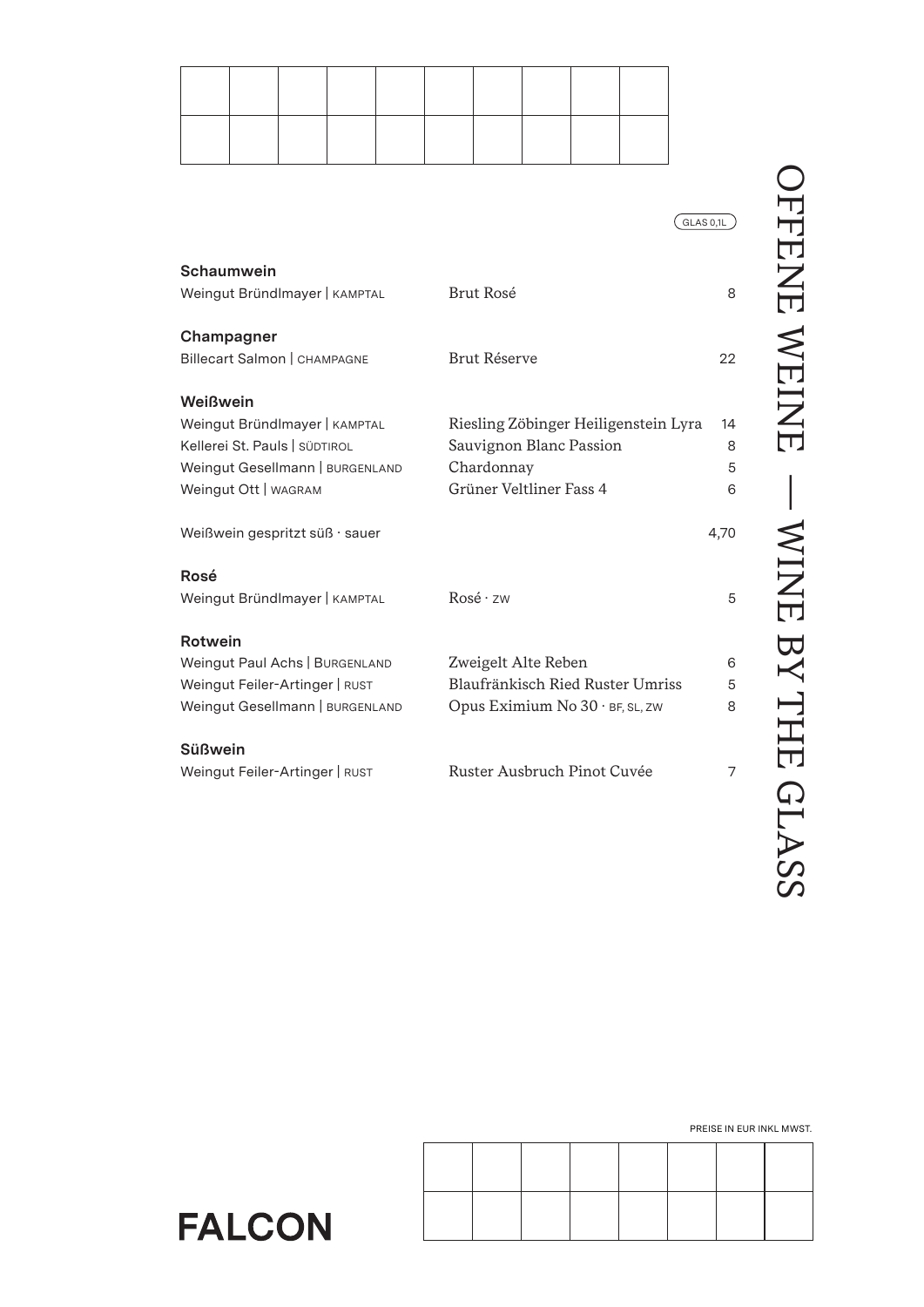$(GLAS 0,1L)$ 

| Brut Rosé                            | 8            |
|--------------------------------------|--------------|
|                                      |              |
|                                      | 22           |
|                                      |              |
| Riesling Zöbinger Heiligenstein Lyra | 14           |
| Sauvignon Blanc Passion              | 8            |
| Chardonnay                           | 5            |
| Grüner Veltliner Fass 4              | 6            |
|                                      | 4,70         |
|                                      |              |
| Rosé·zw                              | 5            |
|                                      |              |
| Zweigelt Alte Reben                  | 6            |
| Blaufränkisch Ried Ruster Umriss     | 5            |
| Opus Eximium No 30 · BF, SL, ZW      | 8            |
|                                      |              |
| Ruster Ausbruch Pinot Cuvée          | 7            |
|                                      |              |
|                                      | Brut Réserve |

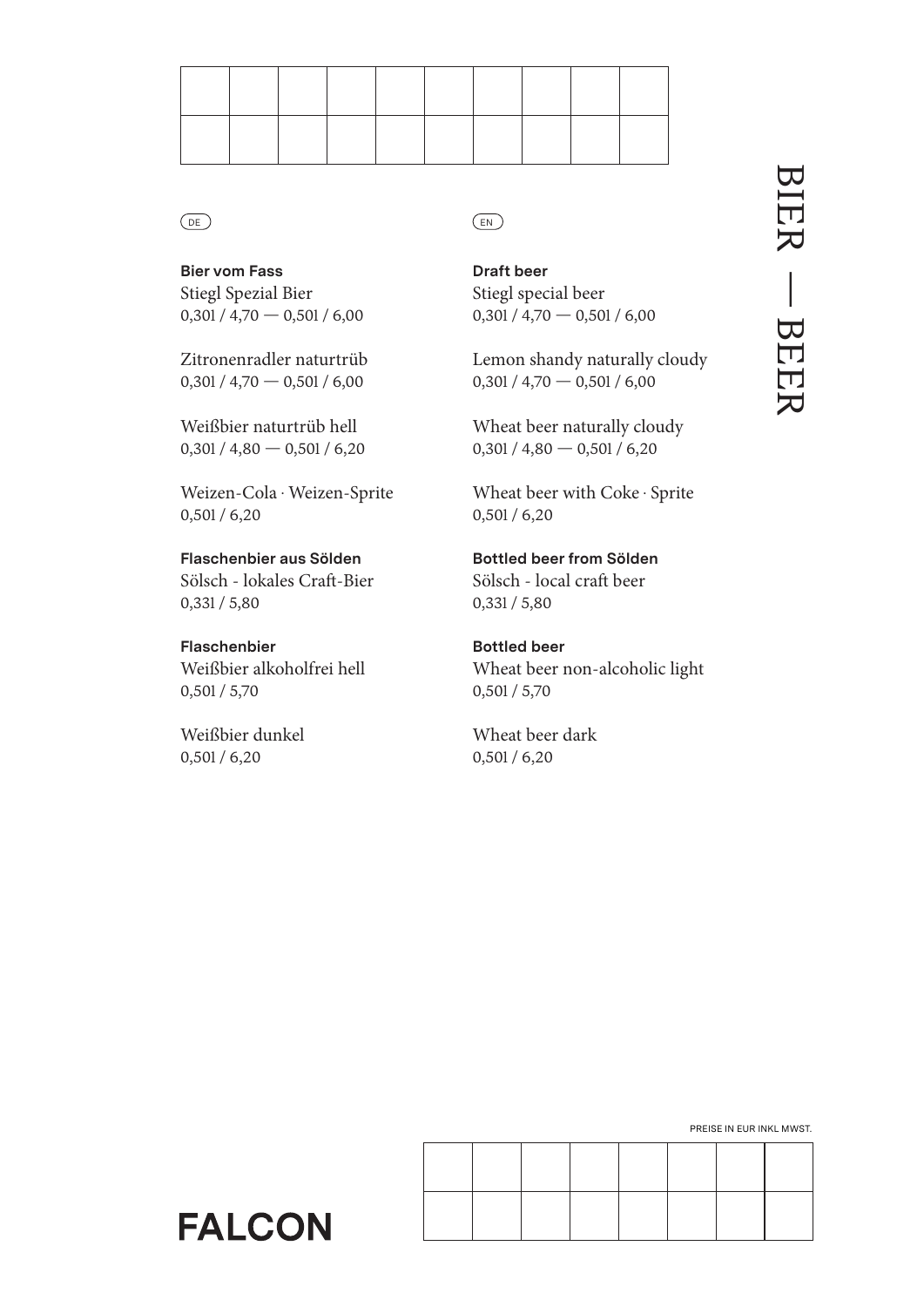**Bier vom Fass** Stiegl Spezial Bier  $0,301/4,70 - 0,501/6,00$ 

Zitronenradler naturtrüb  $0,301 / 4,70 - 0,501 / 6,00$ 

Weißbier naturtrüb hell 0,30l / 4,80 — 0,50l / 6,20

Weizen-Cola · Weizen-Sprite 0,50l / 6,20

**Flaschenbier aus Sölden** Sölsch - lokales Craft-Bier 0,33l / 5,80

**Flaschenbier** Weißbier alkoholfrei hell 0,50l / 5,70

Weißbier dunkel 0,50l / 6,20

# DE) (EN

**Draft beer** Stiegl special beer  $0,301 / 4,70 - 0,501 / 6,00$ 

Lemon shandy naturally cloudy  $0,301/4,70 - 0,501/6,00$ 

Wheat beer naturally cloudy 0,30l / 4,80 — 0,50l / 6,20

Wheat beer with Coke · Sprite 0,50l / 6,20

**Bottled beer from Sölden** Sölsch - local craft beer 0,33l / 5,80

**Bottled beer** Wheat beer non-alcoholic light 0,50l / 5,70

Wheat beer dark 0,50l / 6,20

PREISE IN EUR INKL MWST.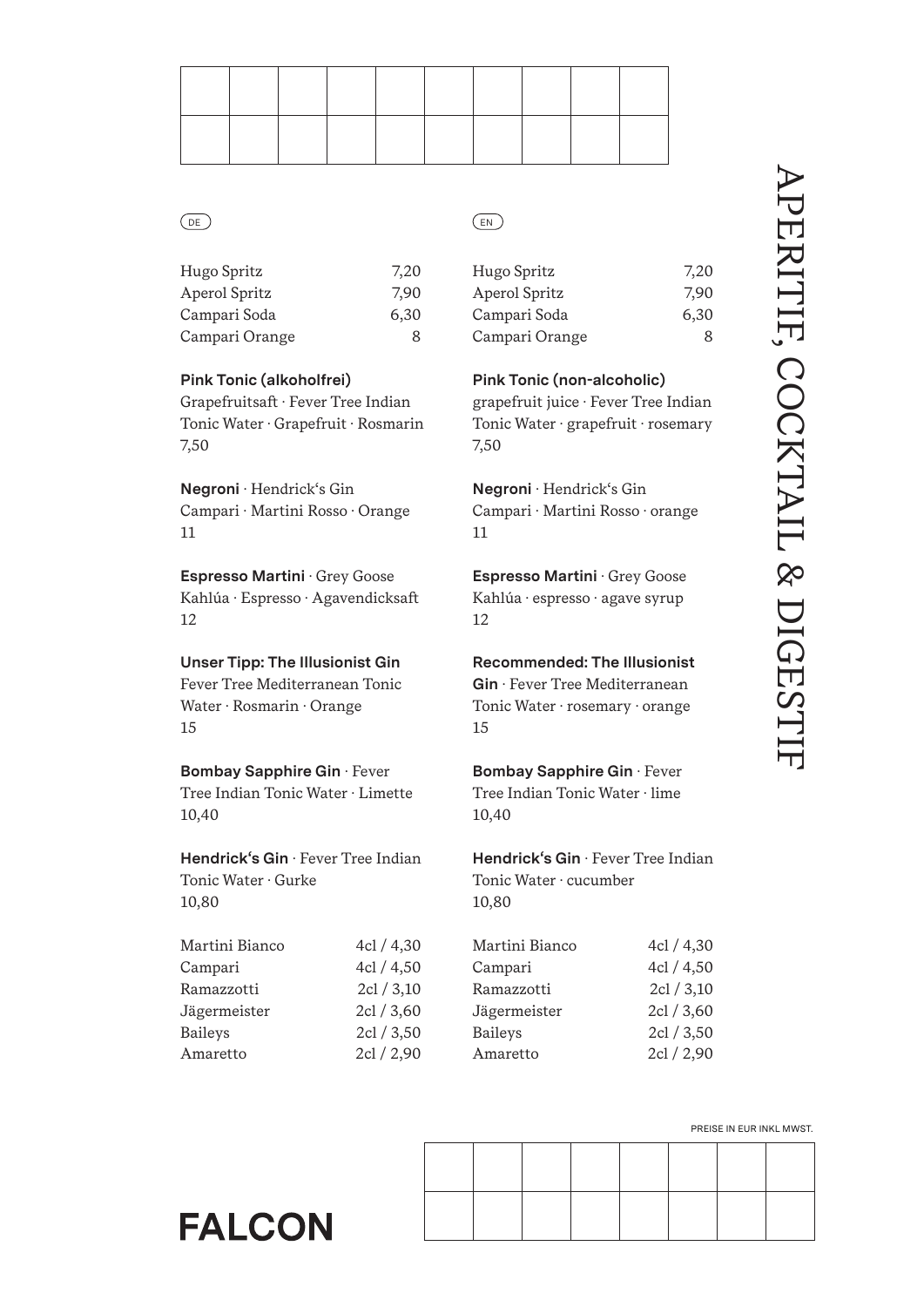| Hugo Spritz    | 7,20 |
|----------------|------|
| Aperol Spritz  | 7.90 |
| Campari Soda   | 6,30 |
| Campari Orange | 8    |
|                |      |

# **Pink Tonic (alkoholfrei)**

Grapefruitsaft · Fever Tree Indian Tonic Water · Grapefruit · Rosmarin 7,50

**Negroni** · Hendrick's Gin Campari · Martini Rosso · Orange 11

**Espresso Martini** · Grey Goose Kahlúa · Espresso · Agavendicksaft 12

# **Unser Tipp: The Illusionist Gin**

Fever Tree Mediterranean Tonic Water · Rosmarin · Orange 15

# **Bombay Sapphire Gin** · Fever

Tree Indian Tonic Water · Limette 10,40

**Hendrick's Gin** · Fever Tree Indian Tonic Water · Gurke 10,80

| Martini Bianco | 4cl / 4,30 |
|----------------|------------|
| Campari        | 4cl / 4,50 |
| Ramazzotti     | 2cl / 3,10 |
| Jägermeister   | 2cl / 3,60 |
| <b>Baileys</b> | 2cl / 3,50 |
| Amaretto       | 2cl / 2,90 |
|                |            |

# DE) (EN

| Hugo Spritz    | 7,20 |
|----------------|------|
| Aperol Spritz  | 7.90 |
| Campari Soda   | 6,30 |
| Campari Orange | 8    |

**Pink Tonic (non-alcoholic)**

grapefruit juice · Fever Tree Indian Tonic Water · grapefruit · rosemary 7,50

**Negroni** · Hendrick's Gin Campari · Martini Rosso · orange 11

**Espresso Martini** · Grey Goose Kahlúa · espresso · agave syrup 12

# **Recommended: The Illusionist**

**Gin** · Fever Tree Mediterranean Tonic Water · rosemary · orange 15

# **Bombay Sapphire Gin** · Fever Tree Indian Tonic Water · lime

10,40

**Hendrick's Gin** · Fever Tree Indian Tonic Water · cucumber 10,80

| Martini Bianco | 4cl / 4,30 |
|----------------|------------|
| Campari        | 4cl / 4,50 |
| Ramazzotti     | 2cl / 3,10 |
| Jägermeister   | 2cl / 3,60 |
| <b>Baileys</b> | 2cl / 3,50 |
| Amaretto       | 2cl / 2,90 |

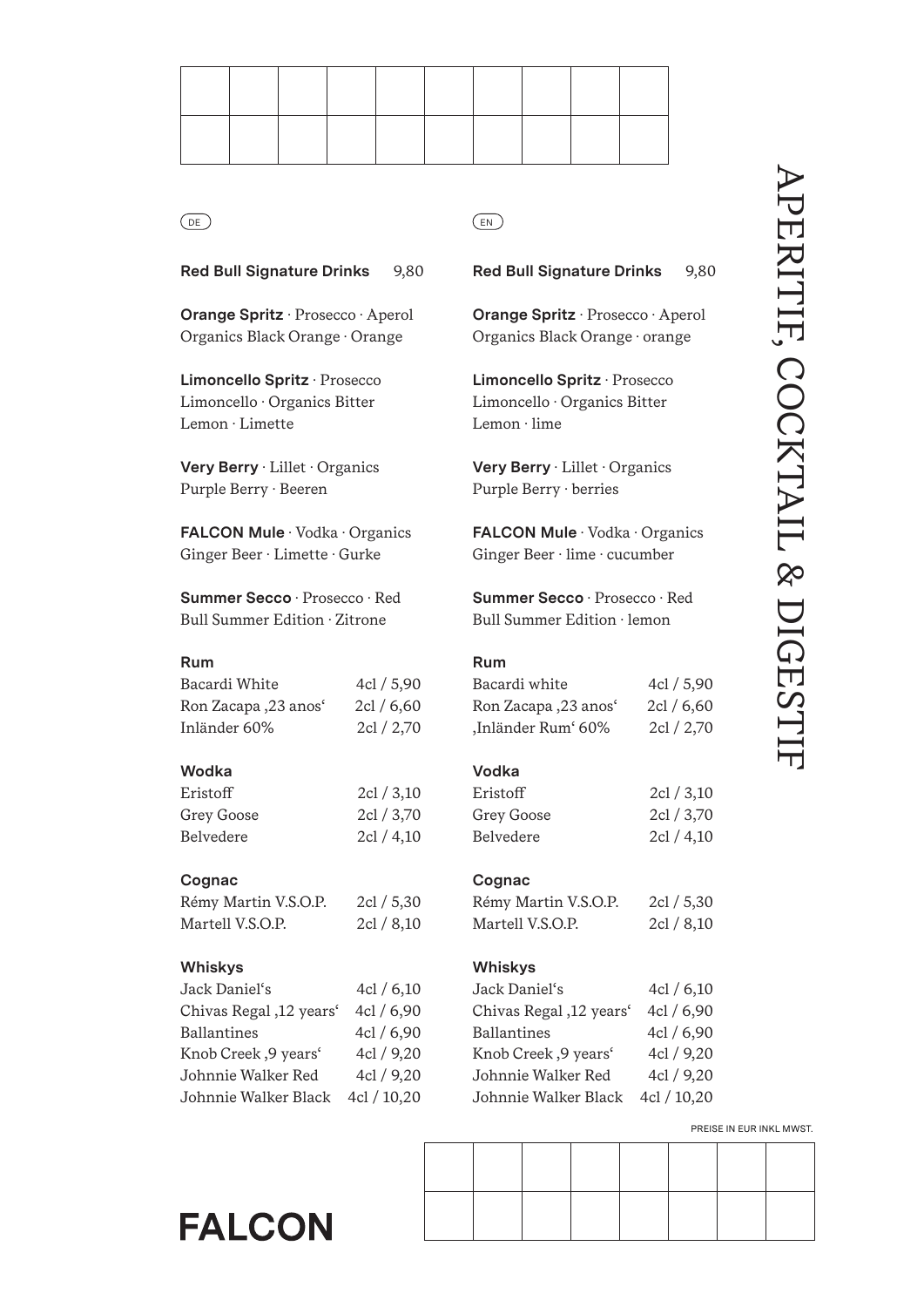**Red Bull Signature Drinks** 9,80

**Orange Spritz** · Prosecco · Aperol Organics Black Orange · Orange

**Limoncello Spritz** · Prosecco Limoncello · Organics Bitter Lemon · Limette

**Very Berry** · Lillet · Organics Purple Berry · Beeren

**FALCON Mule** · Vodka · Organics Ginger Beer · Limette · Gurke

**Summer Secco** · Prosecco · Red Bull Summer Edition · Zitrone

# **Rum**

Bacardi White 4cl / 5,90 Ron Zacapa , 23 anos' 2cl / 6,60 Inländer 60% 2cl / 2,70

# **Wodka**

| Eristoff   | 2cl / 3,10 |
|------------|------------|
| Grey Goose | 2cl / 3.70 |
| Belvedere  | 2cl / 4,10 |

# **Cognac**

| Rémy Martin V.S.O.P. | 2cl / 5,30 |
|----------------------|------------|
| Martell V.S.O.P.     | 2cl / 8,10 |

# **Whiskys**

| Jack Daniel's                    | 4cl / 6,10  |
|----------------------------------|-------------|
| Chivas Regal, 12 years'          | 4cl / 6,90  |
| <b>Ballantines</b>               | 4cl / 6,90  |
| Knob Creek, 9 years <sup>*</sup> | 4cl / 9,20  |
| Johnnie Walker Red               | 4cl / 9,20  |
| Johnnie Walker Black             | 4cl / 10,20 |

**FALCON** 

**Red Bull Signature Drinks** 9,80

**Orange Spritz** · Prosecco · Aperol Organics Black Orange · orange

**Limoncello Spritz** · Prosecco Limoncello · Organics Bitter Lemon · lime

**Very Berry** · Lillet · Organics Purple Berry · berries

**FALCON Mule** · Vodka · Organics Ginger Beer · lime · cucumber

**Summer Secco** · Prosecco · Red Bull Summer Edition · lemon

# **Rum**

| Bacardi white        | 4cl / 5,90 |
|----------------------|------------|
| Ron Zacapa ,23 anosʻ | 2cl / 6,60 |
| ,Inländer Rum' 60%   | 2cl / 2,70 |

# **Vodka**

| Eristoff   | 2cl / 3,10 |
|------------|------------|
| Grey Goose | 2cl / 3,70 |
| Belvedere  | 2cl / 4,10 |

# **Cognac**

Rémy Martin V.S.O.P. 2cl / 5,30 Martell V.S.O.P. 2cl / 8,10

# **Whiskys**

| Jack Daniel's           | 4cl / 6,10  |
|-------------------------|-------------|
| Chivas Regal, 12 years' | 4cl / 6,90  |
| <b>Ballantines</b>      | 4cl / 6,90  |
| Knob Creek, 9 years'    | 4cl / 9,20  |
| Johnnie Walker Red      | 4cl / 9,20  |
| Johnnie Walker Black    | 4cl / 10,20 |
|                         |             |

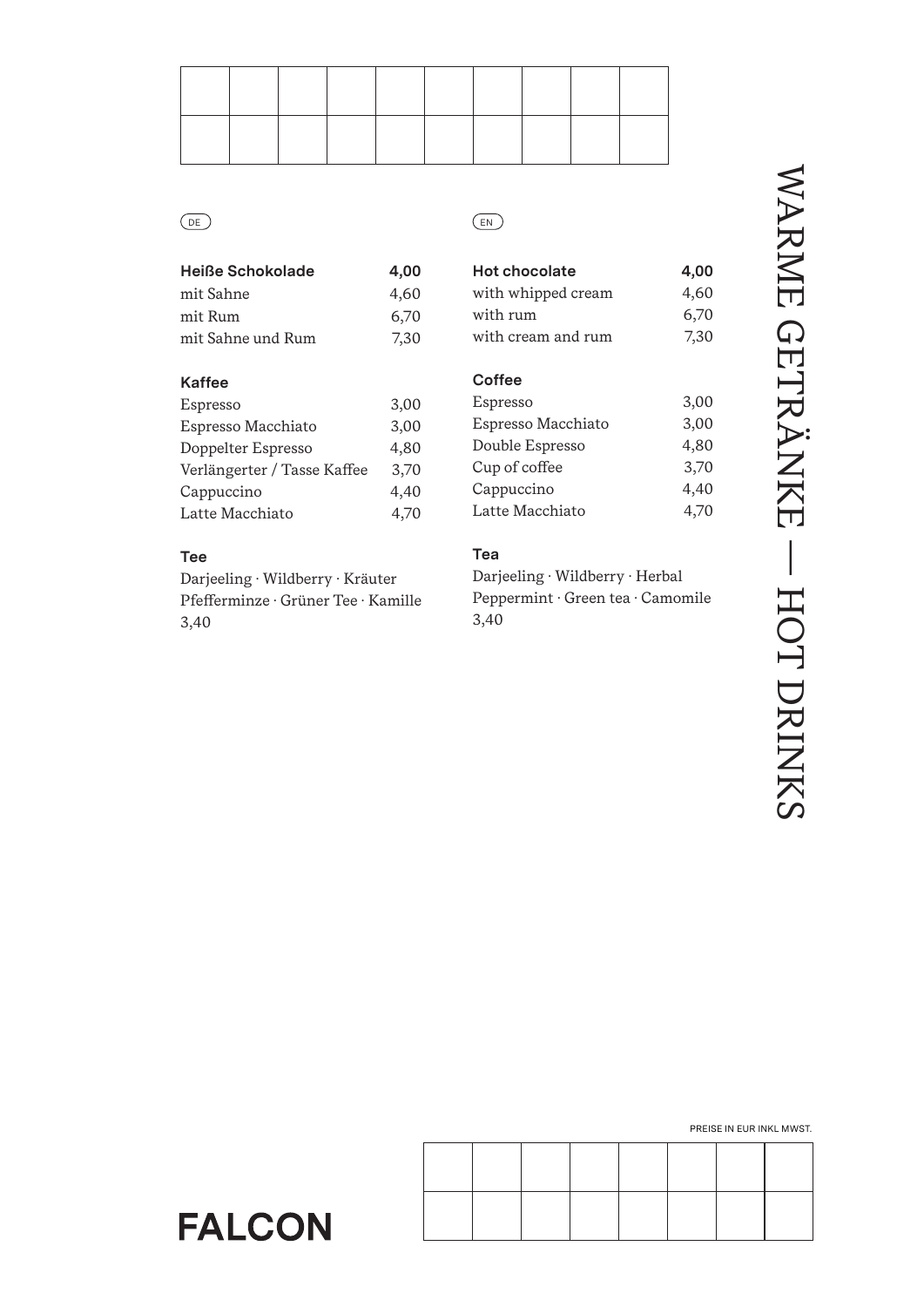| Heiße Schokolade  | 4,00 |
|-------------------|------|
| mit Sahne         | 4.60 |
| mit Rum           | 6,70 |
| mit Sahne und Rum | 7.30 |

# **Kaffee**

| 3,00 |
|------|
| 3.00 |
| 4.80 |
| 3.70 |
| 4,40 |
| 4.70 |
|      |

# **Tee**

Darjeeling · Wildberry · Kräuter Pfefferminze · Grüner Tee · Kamille 3,40

# DE) (EN

| <b>Hot chocolate</b> | 4,00 |
|----------------------|------|
| with whipped cream   | 4,60 |
| with rum             | 6,70 |
| with cream and rum   | 7.30 |
|                      |      |

# **Coffee**

| Espresso           | 3,00 |
|--------------------|------|
| Espresso Macchiato | 3,00 |
| Double Espresso    | 4,80 |
| Cup of coffee      | 3.70 |
| Cappuccino         | 4,40 |
| Latte Macchiato    | 4.70 |

# **Tea**

Darjeeling · Wildberry · Herbal Peppermint · Green tea · Camomile 3,40